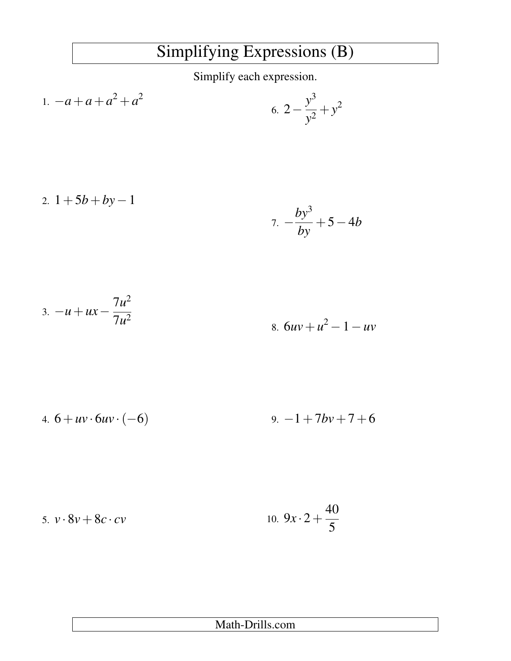## Simplifying Expressions (B)

Simplify each expression.

1. 
$$
-a+a+a^2+a^2
$$
  
6.  $2-\frac{y^3}{y^2}+y^2$ 

2. 
$$
1+5b+by-1
$$
  
7.  $-\frac{by^3}{by}+5-4b$ 

3. 
$$
-u + ux - \frac{7u^2}{7u^2}
$$
  
8.  $6uv + u^2 - 1 - uv$ 

4. 
$$
6 + uv \cdot 6uv \cdot (-6)
$$
 9.  $-1 + 7bv + 7 + 6$ 

5. 
$$
v \cdot 8v + 8c \cdot cv
$$
 10.  $9x \cdot 2 + \frac{40}{5}$ 

| Math-Drills.com |
|-----------------|
|-----------------|